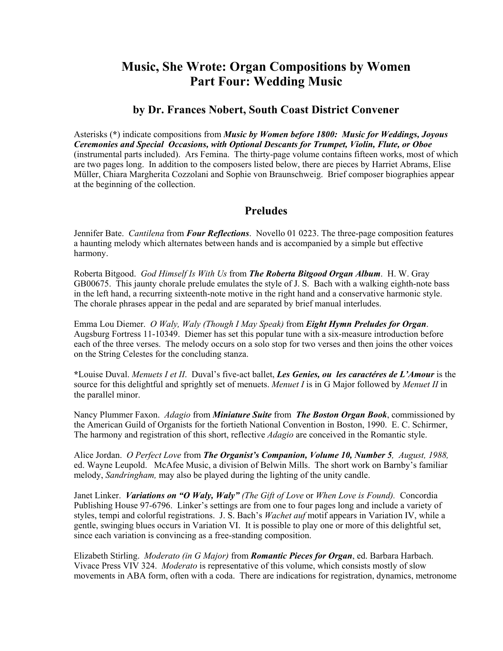# **Music, She Wrote: Organ Compositions by Women Part Four: Wedding Music**

#### **by Dr. Frances Nobert, South Coast District Convener**

Asterisks (**\***) indicate compositions from *Music by Women before 1800: Music for Weddings, Joyous Ceremonies and Special Occasions, with Optional Descants for Trumpet, Violin, Flute, or Oboe*  (instrumental parts included). Ars Femina. The thirty-page volume contains fifteen works, most of which are two pages long. In addition to the composers listed below, there are pieces by Harriet Abrams, Elise Müller, Chiara Margherita Cozzolani and Sophie von Braunschweig. Brief composer biographies appear at the beginning of the collection.

### **Preludes**

Jennifer Bate. *Cantilena* from *Four Reflections*. Novello 01 0223. The three-page composition features a haunting melody which alternates between hands and is accompanied by a simple but effective harmony.

Roberta Bitgood. *God Himself Is With Us* from *The Roberta Bitgood Organ Album*. H. W. Gray GB00675. This jaunty chorale prelude emulates the style of J. S. Bach with a walking eighth-note bass in the left hand, a recurring sixteenth-note motive in the right hand and a conservative harmonic style. The chorale phrases appear in the pedal and are separated by brief manual interludes.

Emma Lou Diemer. *O Waly, Waly (Though I May Speak)* from *Eight Hymn Preludes for Organ*. Augsburg Fortress 11-10349. Diemer has set this popular tune with a six-measure introduction before each of the three verses. The melody occurs on a solo stop for two verses and then joins the other voices on the String Celestes for the concluding stanza.

**\***Louise Duval. *Menuets I et II*. Duval's five-act ballet, *Les Genies, ou les caractéres de L'Amour* is the source for this delightful and sprightly set of menuets. *Menuet I* is in G Major followed by *Menuet II* in the parallel minor.

Nancy Plummer Faxon. *Adagio* from *Miniature Suite* from *The Boston Organ Book*, commissioned by the American Guild of Organists for the fortieth National Convention in Boston, 1990. E. C. Schirmer, The harmony and registration of this short, reflective *Adagio* are conceived in the Romantic style.

Alice Jordan. *O Perfect Love* from *The Organist's Companion, Volume 10, Number 5, August, 1988,* ed. Wayne Leupold. McAfee Music, a division of Belwin Mills. The short work on Barnby's familiar melody, *Sandringham,* may also be played during the lighting of the unity candle.

Janet Linker. *Variations on "O Waly, Waly" (The Gift of Love* or *When Love is Found).* Concordia Publishing House 97-6796. Linker's settings are from one to four pages long and include a variety of styles, tempi and colorful registrations. J. S. Bach's *Wachet auf* motif appears in Variation IV, while a gentle, swinging blues occurs in Variation VI. It is possible to play one or more of this delightful set, since each variation is convincing as a free-standing composition.

Elizabeth Stirling. *Moderato (in G Major)* from *Romantic Pieces for Organ*, ed. Barbara Harbach. Vivace Press VIV 324. *Moderato* is representative of this volume, which consists mostly of slow movements in ABA form, often with a coda. There are indications for registration, dynamics, metronome